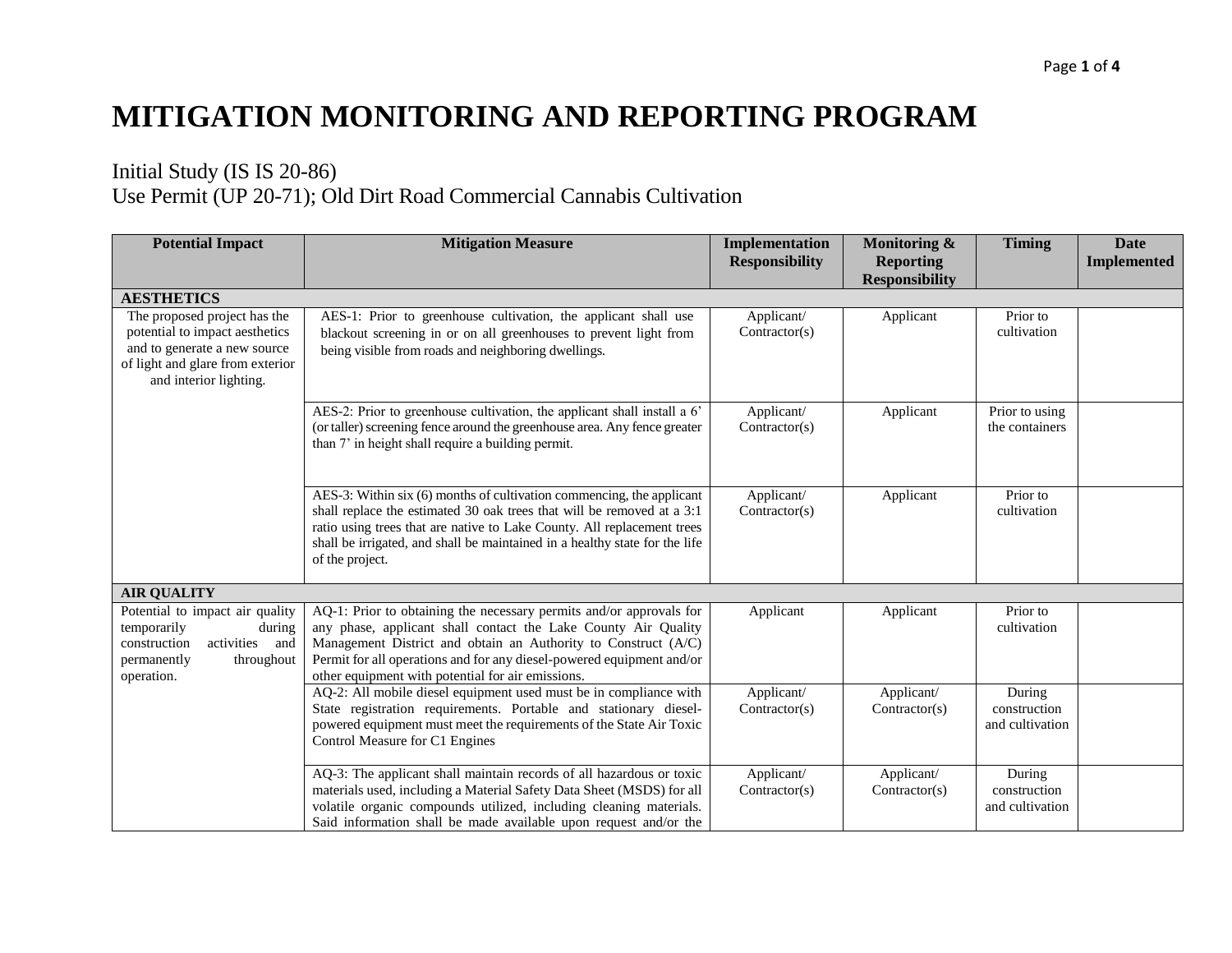## **MITIGATION MONITORING AND REPORTING PROGRAM**

## Initial Study (IS IS 20-86) Use Permit (UP 20-71); Old Dirt Road Commercial Cannabis Cultivation

| <b>Potential Impact</b>                                                                                                                                      | <b>Mitigation Measure</b>                                                                                                                                                                                                                                                                                                             | Implementation<br><b>Responsibility</b> | Monitoring &<br><b>Reporting</b> | <b>Timing</b>                             | <b>Date</b><br><b>Implemented</b> |
|--------------------------------------------------------------------------------------------------------------------------------------------------------------|---------------------------------------------------------------------------------------------------------------------------------------------------------------------------------------------------------------------------------------------------------------------------------------------------------------------------------------|-----------------------------------------|----------------------------------|-------------------------------------------|-----------------------------------|
|                                                                                                                                                              |                                                                                                                                                                                                                                                                                                                                       |                                         | <b>Responsibility</b>            |                                           |                                   |
| <b>AESTHETICS</b>                                                                                                                                            |                                                                                                                                                                                                                                                                                                                                       |                                         |                                  |                                           |                                   |
| The proposed project has the<br>potential to impact aesthetics<br>and to generate a new source<br>of light and glare from exterior<br>and interior lighting. | AES-1: Prior to greenhouse cultivation, the applicant shall use<br>blackout screening in or on all greenhouses to prevent light from<br>being visible from roads and neighboring dwellings.                                                                                                                                           | Applicant/<br>Contractor(s)             | Applicant                        | Prior to<br>cultivation                   |                                   |
|                                                                                                                                                              | AES-2: Prior to greenhouse cultivation, the applicant shall install a 6'<br>(or taller) screening fence around the greenhouse area. Any fence greater<br>than 7' in height shall require a building permit.                                                                                                                           | Applicant/<br>Contractor(s)             | Applicant                        | Prior to using<br>the containers          |                                   |
|                                                                                                                                                              | AES-3: Within six (6) months of cultivation commencing, the applicant<br>shall replace the estimated 30 oak trees that will be removed at a 3:1<br>ratio using trees that are native to Lake County. All replacement trees<br>shall be irrigated, and shall be maintained in a healthy state for the life<br>of the project.          | Applicant/<br>Contractor(s)             | Applicant                        | Prior to<br>cultivation                   |                                   |
| <b>AIR QUALITY</b>                                                                                                                                           |                                                                                                                                                                                                                                                                                                                                       |                                         |                                  |                                           |                                   |
| Potential to impact air quality<br>temporarily<br>during<br>construction<br>activities and<br>permanently<br>throughout<br>operation.                        | AQ-1: Prior to obtaining the necessary permits and/or approvals for<br>any phase, applicant shall contact the Lake County Air Quality<br>Management District and obtain an Authority to Construct (A/C)<br>Permit for all operations and for any diesel-powered equipment and/or<br>other equipment with potential for air emissions. | Applicant                               | Applicant                        | Prior to<br>cultivation                   |                                   |
|                                                                                                                                                              | AQ-2: All mobile diesel equipment used must be in compliance with<br>State registration requirements. Portable and stationary diesel-<br>powered equipment must meet the requirements of the State Air Toxic<br>Control Measure for C1 Engines                                                                                        | Applicant/<br>Contractor(s)             | Applicant/<br>Contractor(s)      | During<br>construction<br>and cultivation |                                   |
|                                                                                                                                                              | AQ-3: The applicant shall maintain records of all hazardous or toxic<br>materials used, including a Material Safety Data Sheet (MSDS) for all<br>volatile organic compounds utilized, including cleaning materials.<br>Said information shall be made available upon request and/or the                                               | Applicant/<br>Contractor(s)             | Applicant/<br>Contractor(s)      | During<br>construction<br>and cultivation |                                   |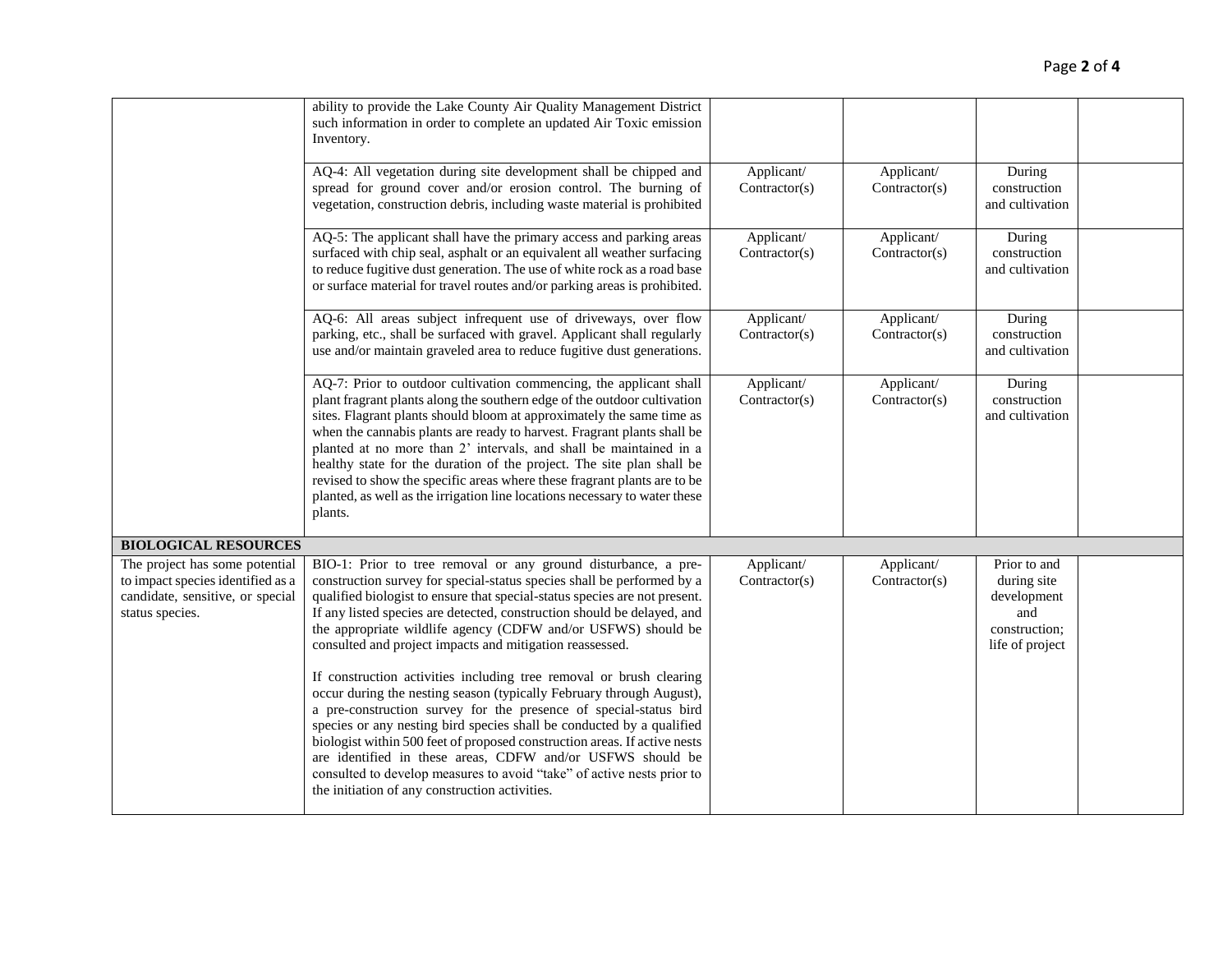|                                                                                                                            | ability to provide the Lake County Air Quality Management District<br>such information in order to complete an updated Air Toxic emission<br>Inventory.                                                                                                                                                                                                                                                                                                                                                                                                                                                                |                             |                             |                                                                                       |  |
|----------------------------------------------------------------------------------------------------------------------------|------------------------------------------------------------------------------------------------------------------------------------------------------------------------------------------------------------------------------------------------------------------------------------------------------------------------------------------------------------------------------------------------------------------------------------------------------------------------------------------------------------------------------------------------------------------------------------------------------------------------|-----------------------------|-----------------------------|---------------------------------------------------------------------------------------|--|
|                                                                                                                            | AQ-4: All vegetation during site development shall be chipped and<br>spread for ground cover and/or erosion control. The burning of<br>vegetation, construction debris, including waste material is prohibited                                                                                                                                                                                                                                                                                                                                                                                                         | Applicant/<br>Contractor(s) | Applicant/<br>Contractor(s) | During<br>construction<br>and cultivation                                             |  |
|                                                                                                                            | AQ-5: The applicant shall have the primary access and parking areas<br>surfaced with chip seal, asphalt or an equivalent all weather surfacing<br>to reduce fugitive dust generation. The use of white rock as a road base<br>or surface material for travel routes and/or parking areas is prohibited.                                                                                                                                                                                                                                                                                                                | Applicant/<br>Contractor(s) | Applicant/<br>Contractor(s) | During<br>construction<br>and cultivation                                             |  |
|                                                                                                                            | AQ-6: All areas subject infrequent use of driveways, over flow<br>parking, etc., shall be surfaced with gravel. Applicant shall regularly<br>use and/or maintain graveled area to reduce fugitive dust generations.                                                                                                                                                                                                                                                                                                                                                                                                    | Applicant/<br>Contractor(s) | Applicant/<br>Contractor(s) | During<br>construction<br>and cultivation                                             |  |
|                                                                                                                            | AQ-7: Prior to outdoor cultivation commencing, the applicant shall<br>plant fragrant plants along the southern edge of the outdoor cultivation<br>sites. Flagrant plants should bloom at approximately the same time as<br>when the cannabis plants are ready to harvest. Fragrant plants shall be<br>planted at no more than 2' intervals, and shall be maintained in a<br>healthy state for the duration of the project. The site plan shall be<br>revised to show the specific areas where these fragrant plants are to be<br>planted, as well as the irrigation line locations necessary to water these<br>plants. | Applicant/<br>Contractor(s) | Applicant/<br>Contractor(s) | During<br>construction<br>and cultivation                                             |  |
| <b>BIOLOGICAL RESOURCES</b>                                                                                                |                                                                                                                                                                                                                                                                                                                                                                                                                                                                                                                                                                                                                        |                             |                             |                                                                                       |  |
| The project has some potential<br>to impact species identified as a<br>candidate, sensitive, or special<br>status species. | BIO-1: Prior to tree removal or any ground disturbance, a pre-<br>construction survey for special-status species shall be performed by a<br>qualified biologist to ensure that special-status species are not present.<br>If any listed species are detected, construction should be delayed, and<br>the appropriate wildlife agency (CDFW and/or USFWS) should be<br>consulted and project impacts and mitigation reassessed.                                                                                                                                                                                         | Applicant/<br>Contractor(s) | Applicant/<br>Contractor(s) | Prior to and<br>during site<br>development<br>and<br>construction;<br>life of project |  |
|                                                                                                                            | If construction activities including tree removal or brush clearing<br>occur during the nesting season (typically February through August),<br>a pre-construction survey for the presence of special-status bird<br>species or any nesting bird species shall be conducted by a qualified<br>biologist within 500 feet of proposed construction areas. If active nests<br>are identified in these areas, CDFW and/or USFWS should be<br>consulted to develop measures to avoid "take" of active nests prior to<br>the initiation of any construction activities.                                                       |                             |                             |                                                                                       |  |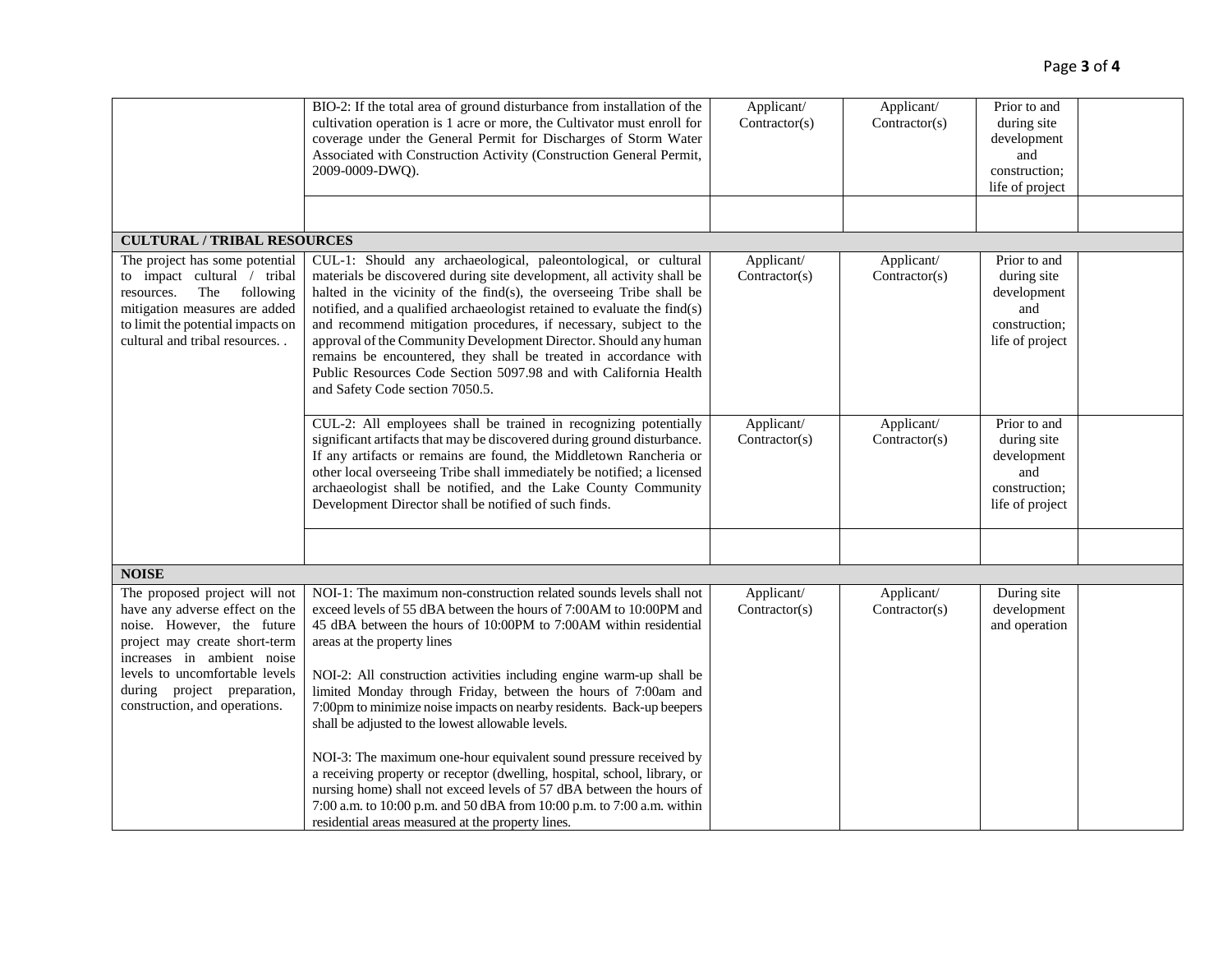|                                                                                                                                                                                                                                                                | BIO-2: If the total area of ground disturbance from installation of the<br>cultivation operation is 1 acre or more, the Cultivator must enroll for<br>coverage under the General Permit for Discharges of Storm Water<br>Associated with Construction Activity (Construction General Permit,<br>2009-0009-DWQ).                                                                                                                                                                                                                                                                                                                                                                                                                                                                                                          | Applicant/<br>Contractor(s) | Applicant/<br>Contractor(s) | Prior to and<br>during site<br>development<br>and<br>construction;<br>life of project |  |
|----------------------------------------------------------------------------------------------------------------------------------------------------------------------------------------------------------------------------------------------------------------|--------------------------------------------------------------------------------------------------------------------------------------------------------------------------------------------------------------------------------------------------------------------------------------------------------------------------------------------------------------------------------------------------------------------------------------------------------------------------------------------------------------------------------------------------------------------------------------------------------------------------------------------------------------------------------------------------------------------------------------------------------------------------------------------------------------------------|-----------------------------|-----------------------------|---------------------------------------------------------------------------------------|--|
|                                                                                                                                                                                                                                                                |                                                                                                                                                                                                                                                                                                                                                                                                                                                                                                                                                                                                                                                                                                                                                                                                                          |                             |                             |                                                                                       |  |
| <b>CULTURAL / TRIBAL RESOURCES</b>                                                                                                                                                                                                                             |                                                                                                                                                                                                                                                                                                                                                                                                                                                                                                                                                                                                                                                                                                                                                                                                                          |                             |                             |                                                                                       |  |
| The project has some potential<br>to impact cultural / tribal<br>The<br>following<br>resources.<br>mitigation measures are added<br>to limit the potential impacts on<br>cultural and tribal resources                                                         | CUL-1: Should any archaeological, paleontological, or cultural<br>materials be discovered during site development, all activity shall be<br>halted in the vicinity of the find(s), the overseeing Tribe shall be<br>notified, and a qualified archaeologist retained to evaluate the find(s)<br>and recommend mitigation procedures, if necessary, subject to the<br>approval of the Community Development Director. Should any human<br>remains be encountered, they shall be treated in accordance with<br>Public Resources Code Section 5097.98 and with California Health<br>and Safety Code section 7050.5.                                                                                                                                                                                                         | Applicant/<br>Contractor(s) | Applicant/<br>Contractor(s) | Prior to and<br>during site<br>development<br>and<br>construction;<br>life of project |  |
|                                                                                                                                                                                                                                                                | CUL-2: All employees shall be trained in recognizing potentially<br>significant artifacts that may be discovered during ground disturbance.<br>If any artifacts or remains are found, the Middletown Rancheria or<br>other local overseeing Tribe shall immediately be notified; a licensed<br>archaeologist shall be notified, and the Lake County Community<br>Development Director shall be notified of such finds.                                                                                                                                                                                                                                                                                                                                                                                                   | Applicant/<br>Contractor(s) | Applicant/<br>Contractor(s) | Prior to and<br>during site<br>development<br>and<br>construction;<br>life of project |  |
|                                                                                                                                                                                                                                                                |                                                                                                                                                                                                                                                                                                                                                                                                                                                                                                                                                                                                                                                                                                                                                                                                                          |                             |                             |                                                                                       |  |
| <b>NOISE</b>                                                                                                                                                                                                                                                   |                                                                                                                                                                                                                                                                                                                                                                                                                                                                                                                                                                                                                                                                                                                                                                                                                          |                             |                             |                                                                                       |  |
| The proposed project will not<br>have any adverse effect on the<br>noise. However, the future<br>project may create short-term<br>increases in ambient noise<br>levels to uncomfortable levels<br>during project preparation,<br>construction, and operations. | NOI-1: The maximum non-construction related sounds levels shall not<br>exceed levels of 55 dBA between the hours of 7:00AM to 10:00PM and<br>45 dBA between the hours of 10:00PM to 7:00AM within residential<br>areas at the property lines<br>NOI-2: All construction activities including engine warm-up shall be<br>limited Monday through Friday, between the hours of 7:00am and<br>7:00pm to minimize noise impacts on nearby residents. Back-up beepers<br>shall be adjusted to the lowest allowable levels.<br>NOI-3: The maximum one-hour equivalent sound pressure received by<br>a receiving property or receptor (dwelling, hospital, school, library, or<br>nursing home) shall not exceed levels of 57 dBA between the hours of<br>7:00 a.m. to 10:00 p.m. and 50 dBA from 10:00 p.m. to 7:00 a.m. within | Applicant/<br>Contractor(s) | Applicant/<br>Contractor(s) | During site<br>development<br>and operation                                           |  |
|                                                                                                                                                                                                                                                                | residential areas measured at the property lines.                                                                                                                                                                                                                                                                                                                                                                                                                                                                                                                                                                                                                                                                                                                                                                        |                             |                             |                                                                                       |  |